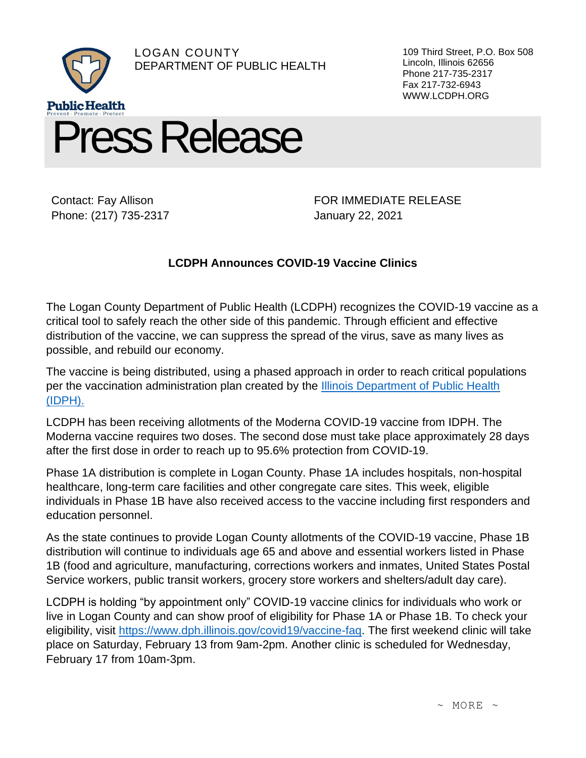

Contact: Fay Allison Phone: (217) 735-2317

FOR IMMEDIATE RELEASE January 22, 2021

109 Third Street, P.O. Box 508

Lincoln, Illinois 62656 Phone 217-735-2317 Fax 217-732-6943 WWW.LCDPH.ORG

## **LCDPH Announces COVID-19 Vaccine Clinics**

The Logan County Department of Public Health (LCDPH) recognizes the COVID-19 vaccine as a critical tool to safely reach the other side of this pandemic. Through efficient and effective distribution of the vaccine, we can suppress the spread of the virus, save as many lives as possible, and rebuild our economy.

The vaccine is being distributed, using a phased approach in order to reach critical populations per the vaccination administration plan created by the [Illinois Department of Public Health](https://www.dph.illinois.gov/covid19/vaccine-faq) [\(IDPH\).](https://www.dph.illinois.gov/covid19/vaccine-faq)

LCDPH has been receiving allotments of the Moderna COVID-19 vaccine from IDPH. The Moderna vaccine requires two doses. The second dose must take place approximately 28 days after the first dose in order to reach up to 95.6% protection from COVID-19.

Phase 1A distribution is complete in Logan County. Phase 1A includes hospitals, non-hospital healthcare, long-term care facilities and other congregate care sites. This week, eligible individuals in Phase 1B have also received access to the vaccine including first responders and education personnel.

As the state continues to provide Logan County allotments of the COVID-19 vaccine, Phase 1B distribution will continue to individuals age 65 and above and essential workers listed in Phase 1B (food and agriculture, manufacturing, corrections workers and inmates, United States Postal Service workers, public transit workers, grocery store workers and shelters/adult day care).

LCDPH is holding "by appointment only" COVID-19 vaccine clinics for individuals who work or live in Logan County and can show proof of eligibility for Phase 1A or Phase 1B. To check your eligibility, visit [https://www.dph.illinois.gov/covid19/vaccine-faq.](https://www.dph.illinois.gov/covid19/vaccine-faq) The first weekend clinic will take place on Saturday, February 13 from 9am-2pm. Another clinic is scheduled for Wednesday, February 17 from 10am-3pm.